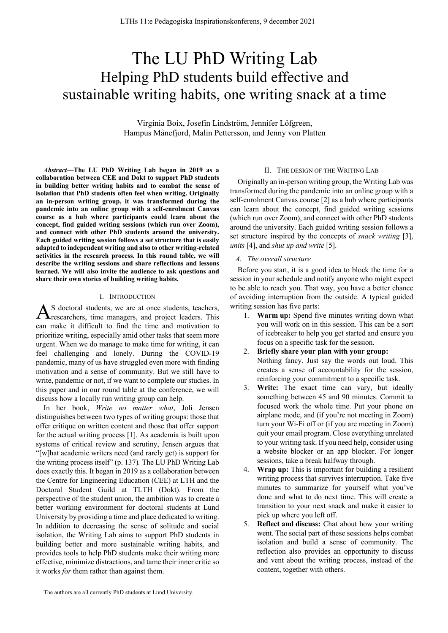# The LU PhD Writing Lab Helping PhD students build effective and sustainable writing habits, one writing snack at a time

Virginia Boix, Josefin Lindström, Jennifer Löfgreen, Hampus Månefjord, Malin Pettersson, and Jenny von Platten

*Abstract***—The LU PhD Writing Lab began in 2019 as a collaboration between CEE and Dokt to support PhD students in building better writing habits and to combat the sense of isolation that PhD students often feel when writing. Originally an in-person writing group, it was transformed during the pandemic into an online group with a self-enrolment Canvas course as a hub where participants could learn about the concept, find guided writing sessions (which run over Zoom), and connect with other PhD students around the university. Each guided writing session follows a set structure that is easily adapted to independent writing and also to other writing-related activities in the research process. In this round table, we will describe the writing sessions and share reflections and lessons learned. We will also invite the audience to ask questions and share their own stories of building writing habits.**

#### I. INTRODUCTION

S doctoral students, we are at once students, teachers,  $A$ <sup>S</sup> doctoral students, we are at once students, teachers,  $A$  researchers, time managers, and project leaders. This can make it difficult to find the time and motivation to prioritize writing, especially amid other tasks that seem more urgent. When we do manage to make time for writing, it can feel challenging and lonely. During the COVID-19 pandemic, many of us have struggled even more with finding motivation and a sense of community. But we still have to write, pandemic or not, if we want to complete our studies. In this paper and in our round table at the conference, we will discuss how a locally run writing group can help.

In her book, *Write no matter what*, Joli Jensen distinguishes between two types of writing groups: those that offer critique on written content and those that offer support for the actual writing process [1]. As academia is built upon systems of critical review and scrutiny, Jensen argues that "[w]hat academic writers need (and rarely get) is support for the writing process itself" (p. 137)*.* The LU PhD Writing Lab does exactly this. It began in 2019 as a collaboration between the Centre for Engineering Education (CEE) at LTH and the Doctoral Student Guild at TLTH (Dokt). From the perspective of the student union, the ambition was to create a better working environment for doctoral students at Lund University by providing a time and place dedicated to writing. In addition to decreasing the sense of solitude and social isolation, the Writing Lab aims to support PhD students in building better and more sustainable writing habits, and provides tools to help PhD students make their writing more effective, minimize distractions, and tame their inner critic so it works *for* them rather than against them.

## II. THE DESIGN OF THE WRITING LAB

Originally an in-person writing group, the Writing Lab was transformed during the pandemic into an online group with a self-enrolment Canvas course [2] as a hub where participants can learn about the concept, find guided writing sessions (which run over Zoom), and connect with other PhD students around the university. Each guided writing session follows a set structure inspired by the concepts of *snack writing* [3], *units* [4], and *shut up and write* [5].

#### *A. The overall structure*

Before you start, it is a good idea to block the time for a session in your schedule and notify anyone who might expect to be able to reach you. That way, you have a better chance of avoiding interruption from the outside. A typical guided writing session has five parts:

- 1. **Warm up:** Spend five minutes writing down what you will work on in this session. This can be a sort of icebreaker to help you get started and ensure you focus on a specific task for the session.
- 2. **Briefly share your plan with your group:**  Nothing fancy. Just say the words out loud. This creates a sense of accountability for the session, reinforcing your commitment to a specific task.
- 3. **Write:** The exact time can vary, but ideally something between 45 and 90 minutes. Commit to focused work the whole time. Put your phone on airplane mode, and (if you're not meeting in Zoom) turn your Wi-Fi off or (if you are meeting in Zoom) quit your email program. Close everything unrelated to your writing task. If you need help, consider using a website blocker or an app blocker. For longer sessions, take a break halfway through.
- 4. **Wrap up:** This is important for building a resilient writing process that survives interruption. Take five minutes to summarize for yourself what you've done and what to do next time. This will create a transition to your next snack and make it easier to pick up where you left off.
- 5. **Reflect and discuss:** Chat about how your writing went. The social part of these sessions helps combat isolation and build a sense of community. The reflection also provides an opportunity to discuss and vent about the writing process, instead of the content, together with others.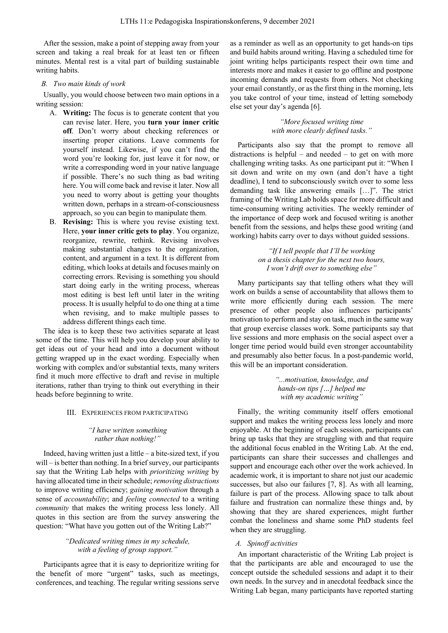After the session, make a point of stepping away from your screen and taking a real break for at least ten or fifteen minutes. Mental rest is a vital part of building sustainable writing habits.

## *B. Two main kinds of work*

Usually, you would choose between two main options in a writing session:

- A. **Writing:** The focus is to generate content that you can revise later. Here, you **turn your inner critic off**. Don't worry about checking references or inserting proper citations. Leave comments for yourself instead. Likewise, if you can't find the word you're looking for, just leave it for now, or write a corresponding word in your native language if possible. There's no such thing as bad writing here. You will come back and revise it later. Now all you need to worry about is getting your thoughts written down, perhaps in a stream-of-consciousness approach, so you can begin to manipulate them.
- B. **Revising:** This is where you revise existing text. Here, **your inner critic gets to play**. You organize, reorganize, rewrite, rethink. Revising involves making substantial changes to the organization, content, and argument in a text. It is different from editing, which looks at details and focuses mainly on correcting errors. Revising is something you should start doing early in the writing process, whereas most editing is best left until later in the writing process. It is usually helpful to do one thing at a time when revising, and to make multiple passes to address different things each time.

The idea is to keep these two activities separate at least some of the time. This will help you develop your ability to get ideas out of your head and into a document without getting wrapped up in the exact wording. Especially when working with complex and/or substantial texts, many writers find it much more effective to draft and revise in multiple iterations, rather than trying to think out everything in their heads before beginning to write.

# III. EXPERIENCES FROM PARTICIPATING

## *"I have written something rather than nothing!"*

Indeed, having written just a little – a bite-sized text, if you will – is better than nothing. In a brief survey, our participants say that the Writing Lab helps with *prioritizing writing* by having allocated time in their schedule; *removing distractions* to improve writing efficiency; *gaining motivation* through a sense of *accountability*; and *feeling connected* to a writing *community* that makes the writing process less lonely. All quotes in this section are from the survey answering the question: "What have you gotten out of the Writing Lab?"

# *"Dedicated writing times in my schedule, with a feeling of group support."*

Participants agree that it is easy to deprioritize writing for the benefit of more "urgent" tasks, such as meetings, conferences, and teaching. The regular writing sessions serve as a reminder as well as an opportunity to get hands-on tips and build habits around writing. Having a scheduled time for joint writing helps participants respect their own time and interests more and makes it easier to go offline and postpone incoming demands and requests from others. Not checking your email constantly, or as the first thing in the morning, lets you take control of your time, instead of letting somebody else set your day's agenda [6].

> *"More focused writing time with more clearly defined tasks."*

Participants also say that the prompt to remove all distractions is helpful – and needed – to get on with more challenging writing tasks. As one participant put it: "When I sit down and write on my own (and don't have a tight deadline), I tend to subconsciously switch over to some less demanding task like answering emails […]". The strict framing of the Writing Lab holds space for more difficult and time-consuming writing activities. The weekly reminder of the importance of deep work and focused writing is another benefit from the sessions, and helps these good writing (and working) habits carry over to days without guided sessions.

> *"If I tell people that I'll be working on a thesis chapter for the next two hours, I won't drift over to something else"*

Many participants say that telling others what they will work on builds a sense of accountability that allows them to write more efficiently during each session. The mere presence of other people also influences participants' motivation to perform and stay on task, much in the same way that group exercise classes work. Some participants say that live sessions and more emphasis on the social aspect over a longer time period would build even stronger accountability and presumably also better focus. In a post-pandemic world, this will be an important consideration.

> *"...motivation, knowledge, and hands-on tips […] helped me with my academic writing"*

Finally, the writing community itself offers emotional support and makes the writing process less lonely and more enjoyable. At the beginning of each session, participants can bring up tasks that they are struggling with and that require the additional focus enabled in the Writing Lab. At the end, participants can share their successes and challenges and support and encourage each other over the work achieved. In academic work, it is important to share not just our academic successes, but also our failures [7, 8]. As with all learning, failure is part of the process. Allowing space to talk about failure and frustration can normalize these things and, by showing that they are shared experiences, might further combat the loneliness and shame some PhD students feel when they are struggling.

## *A. Spinoff activities*

An important characteristic of the Writing Lab project is that the participants are able and encouraged to use the concept outside the scheduled sessions and adapt it to their own needs. In the survey and in anecdotal feedback since the Writing Lab began, many participants have reported starting